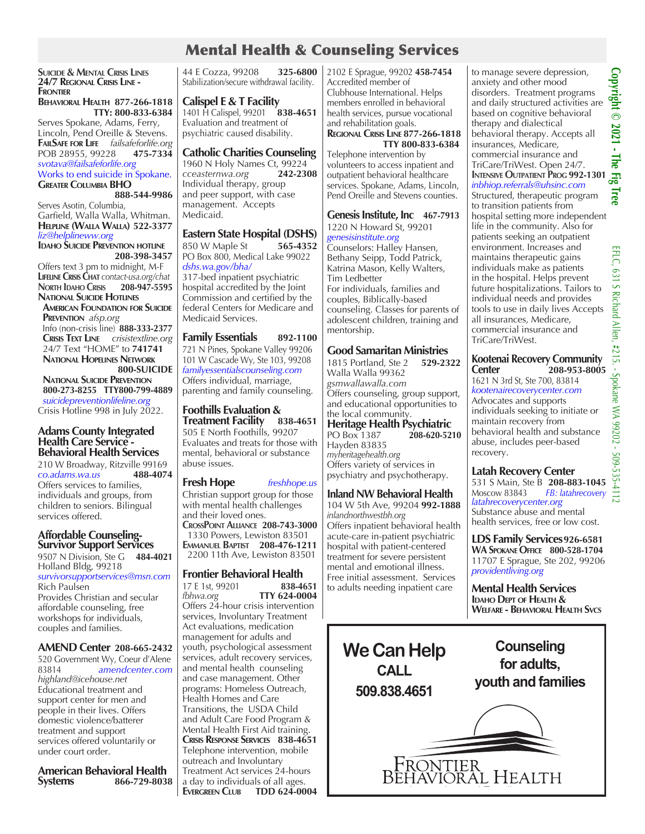# Mental Health & Counseling Services

**Suicide & Mental Crisis Lines 24/7 Regional Crisis Line - Frontier**

#### **Behavioral Health 877-266-1818 TTY: 800-833-6384**

Serves Spokane, Adams, Ferry, Lincoln, Pend Oreille & Stevens. **FailSafe for Life** *failsafeforlife.org* POB 28955, 99228 *svotava@failsafeforlife.org* Works to end suicide in Spokane. **Greater Columbia BHO** 

# **888-544-9986**

Serves Asotin, Columbia, Garfield, Walla Walla, Whitman. **Helpline (Walla Walla) 522-3377** *liz@helplineww.org* **Idaho Suicide Prevention hotline**

# **208-398-3457**

Offers text 3 pm to midnight, M-F **Lifeline Crisis Chat** *contact-usa.org/chat* **North Idaho Crisis 208-947-5595 National Suicide Hotlines**

 **American Foundation for Suicide Prevention** *afsp.org* Info (non-crisis line) **888-333-2377 Crisis Text Line** *crisistextline.org* 24/7 Text "HOME" to **741741**

 **National Hopelines Network 800-SUICIDE**

 **National Suicide Prevention 800-273-8255 TTY800-799-4889**  *suicidepreventionlifeline.org*

Crisis Hotline 998 in July 2022.

#### **Adams County Integrated Health Care Service - Behavioral Health Services**

210 W Broadway, Ritzville 99169<br>co.adams.wa.us 488-4074  $co. *adams.wa.us*$ Offers services to families, individuals and groups, from children to seniors. Bilingual services offered.

#### **Affordable Counseling-Survivor Support Services**

9507 N Division, Ste G **484-4021** Holland Bldg, 99218 *survivorsupportservices@msn.com* Rich Paulsen Provides Christian and secular affordable counseling, free workshops for individuals, couples and families.

#### **AMEND Center 208-665-2432** 520 Government Wy, Coeur d'Alene

83814 *amendcenter.com highland@icehouse.net* Educational treatment and support center for men and people in their lives. Offers domestic violence/batterer treatment and support services offered voluntarily or under court order.

**American Behavioral Health Systems 866-729-8038** 44 E Cozza, 99208 **325-6800** Stabilization/secure withdrawal facility.

#### **Calispel E & T Facility**

1401 H Calispel, 99201 **838-4651** Evaluation and treatment of psychiatric caused disability.

#### **Catholic Charities Counseling**

1960 N Holy Names Ct, 99224<br>cceasternwa.org 242-2308  $cce$ *asternwa.org* Individual therapy, group and peer support, with case management. Accepts Medicaid.

#### **Eastern State Hospital (DSHS)**

850 W Maple St **565-4352** PO Box 800, Medical Lake 99022 *dshs.wa.gov/bha/* 317-bed inpatient psychiatric hospital accredited by the Joint Commission and certified by the federal Centers for Medicare and Medicaid Services.

#### **Family Essentials 892-1100**

721 N Pines, Spokane Valley 99206 101 W Cascade Wy, Ste 103, 99208 *familyessentialscounseling.com* Offers individual, marriage, parenting and family counseling.

### **Foothills Evaluation &**

**Treatment Facility 838-4651** 505 E North Foothills, 99207 Evaluates and treats for those with mental, behavioral or substance abuse issues.

#### **Fresh Hope** *freshhope.us*

Christian support group for those with mental health challenges and their loved ones. **CrossPoint Alliance 208-743-3000** 1330 Powers, Lewiston 83501 **Emmanuel Baptist 208-476-1211** 2200 11th Ave, Lewiston 83501

# **Frontier Behavioral Health**

17 E 1st, 99201 **838-4651**<br> *fbhwa.org* **TTY 624-0004** *fbhwa.org* **TTY 624-0004** Offers 24-hour crisis intervention services, Involuntary Treatment Act evaluations, medication management for adults and youth, psychological assessment services, adult recovery services, and mental health counseling and case management. Other programs: Homeless Outreach, Health Homes and Care Transitions, the USDA Child and Adult Care Food Program & Mental Health First Aid training. **Crisis Response Services 838-4651** Telephone intervention, mobile outreach and Involuntary Treatment Act services 24-hours a day to individuals of all ages. **Evergreen Club TDD 624-0004** 2102 E Sprague, 99202 **458-7454** Accredited member of Clubhouse International. Helps members enrolled in behavioral health services, pursue vocational and rehabilitation goals.

#### **Regional Crisis Line 877-266-1818 TTY 800-833-6384**

Telephone intervention by volunteers to access inpatient and outpatient behavioral healthcare services. Spokane, Adams, Lincoln, Pend Oreille and Stevens counties.

#### **Genesis Institute, Inc 467-7913** 1220 N Howard St, 99201

*genesisinstitute.org* Counselors: Halley Hansen, Bethany Seipp, Todd Patrick, Katrina Mason, Kelly Walters, Tim Ledbetter For individuals, families and couples, Biblically-based counseling. Classes for parents of adolescent children, training and mentorship.

#### **Good Samaritan Ministries**

1815 Portland, Ste 2 **529-2322** Walla Walla 99362 *gsmwallawalla.com* Offers counseling, group support, and educational opportunities to the local community. **Heritage Health Psychiatric** PO Box 1387 Hayden 83835 *myheritagehealth.org* Offers variety of services in psychiatry and psychotherapy.

#### **Inland NW Behavioral Health**

104 W 5th Ave, 99204 **992-1888** *inlandnorthwestbh.org* Offers inpatient behavioral health acute-care in-patient psychiatric hospital with patient-centered treatment for severe persistent mental and emotional illness. Free initial assessment. Services to adults needing inpatient care



to manage severe depression, Copyright © 2021 - The Fig **Copyright © 2021 - The Fig Tree** anxiety and other mood disorders. Treatment programs and daily structured activities are based on cognitive behavioral therapy and dialectical behavioral therapy. Accepts all insurances, Medicare, commercial insurance and TriCare/TriWest. Open 24/7. **INTENSIVE OUTPATIENT PROG 992-130** *inbhiop.referrals@uhsinc.com* Structured, therapeutic program

to transition patients from hospital setting more independent life in the community. Also for patients seeking an outpatient environment. Increases and maintains therapeutic gains individuals make as patients in the hospital. Helps prevent future hospitalizations. Tailors to individual needs and provides tools to use in daily lives Accepts all insurances, Medicare, commercial insurance and TriCare/TriWest.

#### **Kootenai Recovery Community Center 208-953-8005**

1621 N 3rd St, Ste 700, 83814 *kootenairecoverycenter.com* Advocates and supports individuals seeking to initiate or maintain recovery from behavioral health and substance abuse, includes peer-based recovery.

## **Latah Recovery Center**

531 S Main, Ste **B 208-883-1045**<br>Moscow 83843 FB: *latahrecovery* Moscow 83843 *FB: latahrecovery latahrecoverycenter.org* Substance abuse and mental health services, free or low cost.

**LDS Family Services926-6581 WA Spokane Office 800-528-1704** 11707 E Sprague, Ste 202, 99206 *providentliving.org*

**Mental Health Services Idaho Dept of Health & Welfare - Behavioral Health Svcs**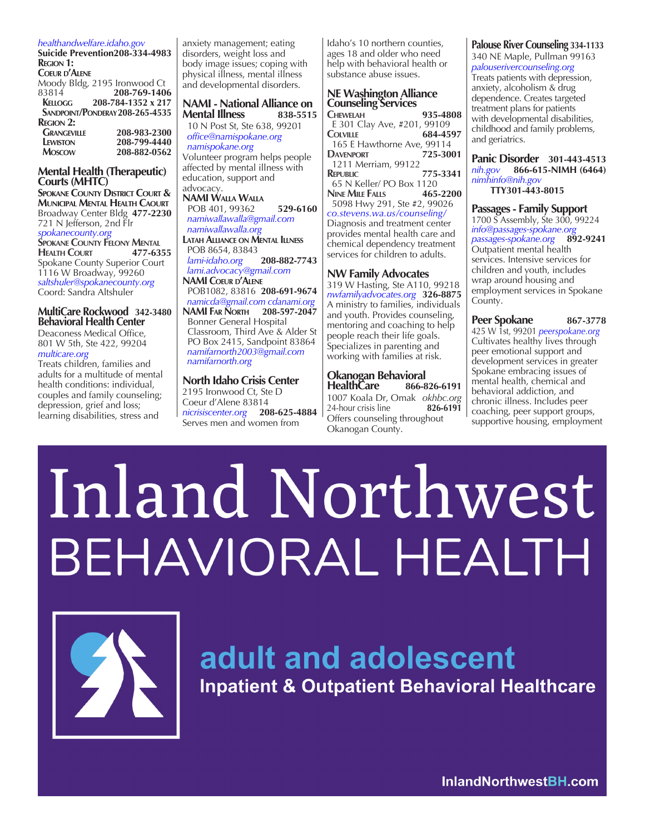#### *healthandwelfare.idaho.gov*

**Suicide Prevention208-334-4983 Region 1: Coeur d'Alene** Moody Bldg, 2195 Ironwood Ct<br>83814 **208-769-1406** 83814 **208-769-1406 Kellogg 208-784-1352 x 217 Sandpoint/Ponderay208-265-4535 CRANGEVILLE** 208-983-2300<br>**LEWISTON** 208-799-4440  **Lewiston 208-799-4440 Moscow 208-882-0562**

#### **Mental Health (Therapeutic) Courts (MHTC)**

**Spokane County District Court & Municipal Mental Health Caourt** Broadway Center Bldg **477-2230** 721 N Jefferson, 2nd Flr *spokanecounty.org* **SPOKANE COUNTY FELONY MENTAL**<br>**HEALTH COURT 477-6355 Health Court 477-6355** Spokane County Superior Court 1116 W Broadway, 99260 *saltshuler@spokanecounty.org*  Coord: Sandra Altshuler

#### **MultiCare Rockwood 342-3480 Behavioral Health Center**  Deaconess Medical Office,

801 W 5th, Ste 422, 99204 *multicare.org* 

Treats children, families and adults for a multitude of mental health conditions: individual, couples and family counseling; depression, grief and loss; learning disabilities, stress and

anxiety management; eating disorders, weight loss and body image issues; coping with physical illness, mental illness and developmental disorders.

#### **NAMI - National Alliance on Mental Illness**

 10 N Post St, Ste 638, 99201  *office@namispokane.org namispokane.org* Volunteer program helps people affected by mental illness with education, support and

advocacy. **NAMI Walla Walla** POB 401, 99362 **529-6160**  *namiwallawalla@gmail.com namiwallawalla.org* **Latah Alliance on Mental Illness** POB 8654, 83843 *lami-idaho.org* **208-882-7743**  *lami.advocacy@gmail.com* **NAMI Coeur d'Alene** POB1082, 83816 **208-691-9674**  *namicda@gmail.com cdanami.org* **NAMI Far North 208-597-2047** Bonner General Hospital Classroom, Third Ave & Alder St PO Box 2415, Sandpoint 83864

 *namifarnorth2003@gmail.com namifarnorth.org*

**North Idaho Crisis Center** 2195 Ironwood Ct, Ste D Coeur d'Alene 83814 *nicrisiscenter.org* **208-625-4884** Serves men and women from

Idaho's 10 northern counties, ages 18 and older who need help with behavioral health or substance abuse issues.

# **NE Washington Alliance Counseling Services**

**Chewelah 935-4808** E 301 Clay Ave, #201, 99109  $C$ OLVILLE 165 E Hawthorne Ave, 99114<br>2001 - 725-3001 **Davenport 725-3001** 1211 Merriam, 99122 **Republic 775-3341** 65 N Keller/ PO Box 1120 **Nine Mile Falls 465-2200** 5098 Hwy 291, Ste #2, 99026 *co.stevens.wa.us/counseling/* Diagnosis and treatment center provides mental health care and chemical dependency treatment services for children to adults.

#### **NW Family Advocates**

319 W Hasting, Ste A110, 99218 *nwfamilyadvocates.org* **326-8875** A ministry to families, individuals and youth. Provides counseling, mentoring and coaching to help people reach their life goals. Specializes in parenting and working with families at risk.

# **Okanogan Behavioral**

**HealthCare** 1007 Koala Dr, Omak *okhbc.org*  24-hour crisis line **826-6191** Offers counseling throughout Okanogan County.

#### **Palouse River Counseling 334-1133**

340 NE Maple, Pullman 99163 *palouserivercounseling.org* Treats patients with depression, anxiety, alcoholism & drug dependence. Creates targeted treatment plans for patients with developmental disabilities, childhood and family problems, and geriatrics.

**Panic Disorder 301-443-4513** *nih.gov* **866-615-NIMH (6464)** *nimhinfo@nih.gov* **TTY301-443-8015**

**Passages - Family Support**  1700 S Assembly, Ste 300, 99224 *info@passages-spokane.org passages-spokane.org* **892-9241** Outpatient mental health services. Intensive services for children and youth, includes wrap around housing and employment services in Spokane County.

**Peer Spokane** 867-3778 425 W 1st, 99201 *peerspokane.org* Cultivates healthy lives through peer emotional support and development services in greater Spokane embracing issues of mental health, chemical and behavioral addiction, and chronic illness. Includes peer coaching, peer support groups, supportive housing, employment

# Inland Northwest BEHAVIORAL HEALTH



# adult and adolescent

**Inpatient & Outpatient Behavioral Healthcare** 

InlandNorthwestBH.com